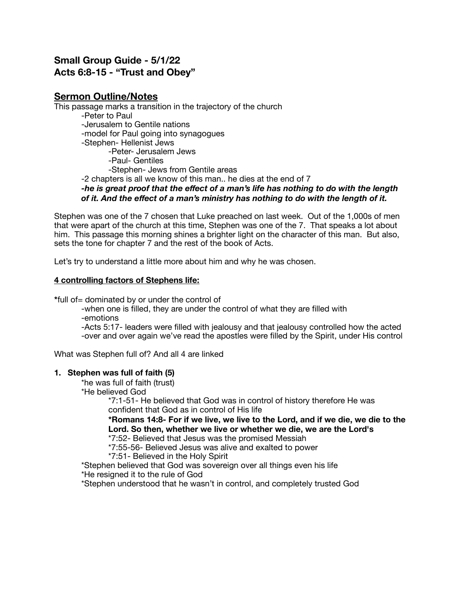## **Small Group Guide - 5/1/22 Acts 6:8-15 - "Trust and Obey"**

## **Sermon Outline/Notes**

This passage marks a transition in the trajectory of the church

-Peter to Paul

-Jerusalem to Gentile nations

-model for Paul going into synagogues

-Stephen- Hellenist Jews

 -Peter- Jerusalem Jews

 -Paul- Gentiles

 -Stephen- Jews from Gentile areas

-2 chapters is all we know of this man.. he dies at the end of 7

*-he is great proof that the effect of a man's life has nothing to do with the length of it. And the effect of a man's ministry has nothing to do with the length of it.* 

Stephen was one of the 7 chosen that Luke preached on last week. Out of the 1,000s of men that were apart of the church at this time, Stephen was one of the 7. That speaks a lot about him. This passage this morning shines a brighter light on the character of this man. But also, sets the tone for chapter 7 and the rest of the book of Acts.

Let's try to understand a little more about him and why he was chosen.

#### **4 controlling factors of Stephens life:**

**\***full of= dominated by or under the control of

-when one is filled, they are under the control of what they are filled with

-emotions

-Acts 5:17- leaders were filled with jealousy and that jealousy controlled how the acted

-over and over again we've read the apostles were filled by the Spirit, under His control

What was Stephen full of? And all 4 are linked

#### **1. Stephen was full of faith (5)**

\*he was full of faith (trust)

\*He believed God

 \*7:1-51- He believed that God was in control of history therefore He was confident that God as in control of His life

 **\*Romans 14:8- For if we live, we live to the Lord, and if we die, we die to the Lord. So then, whether we live or whether we die, we are the Lord's**

 \*7:52- Believed that Jesus was the promised Messiah

 \*7:55-56- Believed Jesus was alive and exalted to power

 \*7:51- Believed in the Holy Spirit

\*Stephen believed that God was sovereign over all things even his life

\*He resigned it to the rule of God

\*Stephen understood that he wasn't in control, and completely trusted God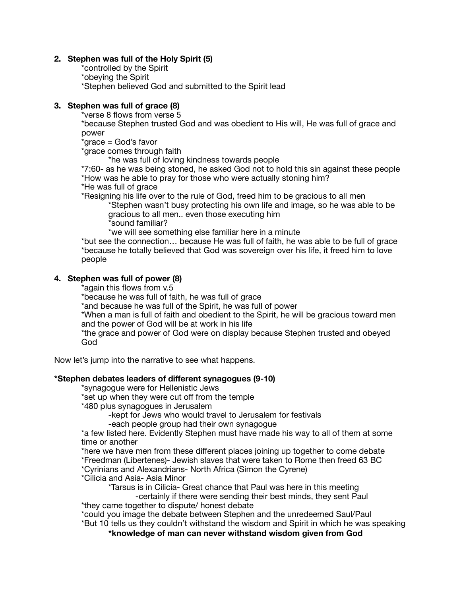#### **2. Stephen was full of the Holy Spirit (5)**

\*controlled by the Spirit

\*obeying the Spirit

\*Stephen believed God and submitted to the Spirit lead

#### **3. Stephen was full of grace (8)**

\*verse 8 flows from verse 5

\*because Stephen trusted God and was obedient to His will, He was full of grace and power

\*grace = God's favor

\*grace comes through faith

 \*he was full of loving kindness towards people

\*7:60- as he was being stoned, he asked God not to hold this sin against these people \*How was he able to pray for those who were actually stoning him?

\*He was full of grace

\*Resigning his life over to the rule of God, freed him to be gracious to all men

 \*Stephen wasn't busy protecting his own life and image, so he was able to be gracious to all men.. even those executing him

 \*sound familiar?

 \*we will see something else familiar here in a minute

\*but see the connection… because He was full of faith, he was able to be full of grace \*because he totally believed that God was sovereign over his life, it freed him to love people

#### **4. Stephen was full of power (8)**

\*again this flows from v.5

\*because he was full of faith, he was full of grace

\*and because he was full of the Spirit, he was full of power

\*When a man is full of faith and obedient to the Spirit, he will be gracious toward men and the power of God will be at work in his life

\*the grace and power of God were on display because Stephen trusted and obeyed God

Now let's jump into the narrative to see what happens.

#### **\*Stephen debates leaders of different synagogues (9-10)**

\*synagogue were for Hellenistic Jews

\*set up when they were cut off from the temple

\*480 plus synagogues in Jerusalem

 -kept for Jews who would travel to Jerusalem for festivals

 -each people group had their own synagogue

\*a few listed here. Evidently Stephen must have made his way to all of them at some time or another

\*here we have men from these different places joining up together to come debate \*Freedman (Libertenes)- Jewish slaves that were taken to Rome then freed 63 BC

\*Cyrinians and Alexandrians- North Africa (Simon the Cyrene)

\*Cilicia and Asia- Asia Minor

 \*Tarsus is in Cilicia- Great chance that Paul was here in this meeting

 -certainly if there were sending their best minds, they sent Paul \*they came together to dispute/ honest debate

\*could you image the debate between Stephen and the unredeemed Saul/Paul \*But 10 tells us they couldn't withstand the wisdom and Spirit in which he was speaking

 **\*knowledge of man can never withstand wisdom given from God**